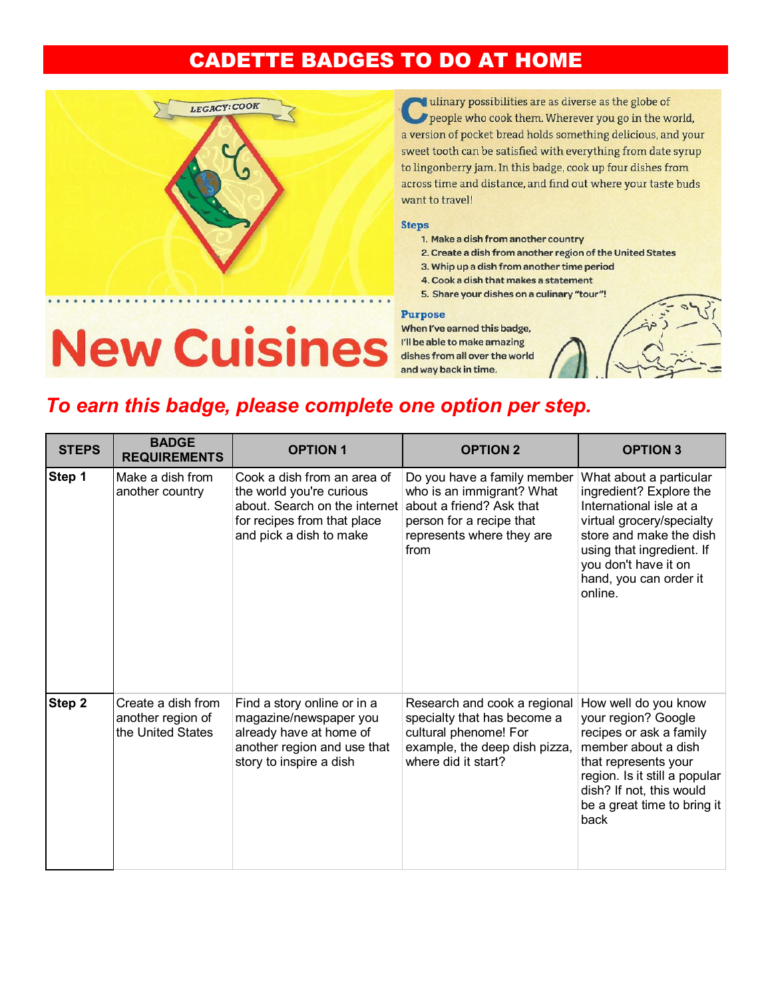## **CADETTE BADGES TO DO AT HOME**



dulinary possibilities are as diverse as the globe of people who cook them. Wherever you go in the world, a version of pocket bread holds something delicious, and your sweet tooth can be satisfied with everything from date syrup to lingonberry jam. In this badge, cook up four dishes from across time and distance, and find out where your taste buds want to travel!

## **Steps**

- 1. Make a dish from another country
- 2. Create a dish from another region of the United States
- 3. Whip up a dish from another time period
- 4. Cook a dish that makes a statement
- 5. Share your dishes on a culinary "tour"!

## **Purpose**

When I've earned this badge, I'll be able to make amazing dishes from all over the world and way back in time.

**New Cuisines** 



## To earn this badge, please complete one option per step.

| <b>STEPS</b> | <b>BADGE</b><br><b>REQUIREMENTS</b>                          | <b>OPTION 1</b>                                                                                                                                    | <b>OPTION 2</b>                                                                                                                                       | <b>OPTION 3</b>                                                                                                                                                                                                                 |
|--------------|--------------------------------------------------------------|----------------------------------------------------------------------------------------------------------------------------------------------------|-------------------------------------------------------------------------------------------------------------------------------------------------------|---------------------------------------------------------------------------------------------------------------------------------------------------------------------------------------------------------------------------------|
| Step 1       | Make a dish from<br>another country                          | Cook a dish from an area of<br>the world you're curious<br>about. Search on the internet<br>for recipes from that place<br>and pick a dish to make | Do you have a family member<br>who is an immigrant? What<br>about a friend? Ask that<br>person for a recipe that<br>represents where they are<br>from | What about a particular<br>ingredient? Explore the<br>International isle at a<br>virtual grocery/specialty<br>store and make the dish<br>using that ingredient. If<br>you don't have it on<br>hand, you can order it<br>online. |
| Step 2       | Create a dish from<br>another region of<br>the United States | Find a story online or in a<br>magazine/newspaper you<br>already have at home of<br>another region and use that<br>story to inspire a dish         | Research and cook a regional<br>specialty that has become a<br>cultural phenome! For<br>example, the deep dish pizza,<br>where did it start?          | How well do you know<br>your region? Google<br>recipes or ask a family<br>member about a dish<br>that represents your<br>region. Is it still a popular<br>dish? If not, this would<br>be a great time to bring it<br>back       |